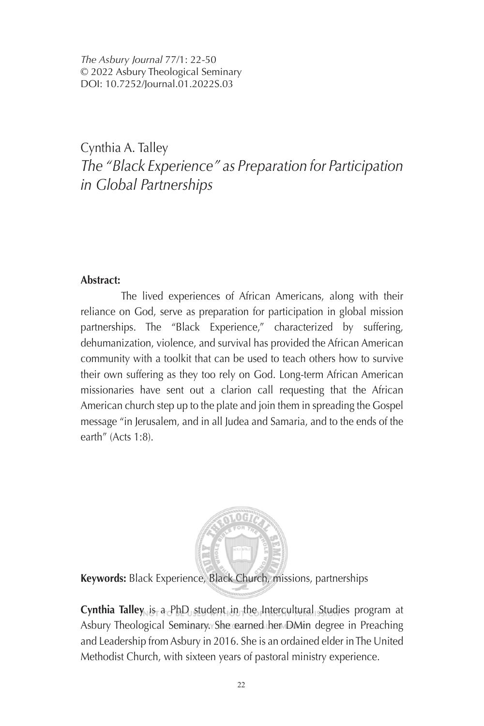*The Asbury Journal* 77/1: 22-50 © 2022 Asbury Theological Seminary DOI: 10.7252/Journal.01.2022S.03

## Cynthia A. Talley *The "Black Experience" as Preparation for Participation in Global Partnerships*

#### **Abstract:**

The lived experiences of African Americans, along with their reliance on God, serve as preparation for participation in global mission partnerships. The "Black Experience," characterized by suffering, dehumanization, violence, and survival has provided the African American community with a toolkit that can be used to teach others how to survive their own suffering as they too rely on God. Long-term African American missionaries have sent out a clarion call requesting that the African American church step up to the plate and join them in spreading the Gospel message "in Jerusalem, and in all Judea and Samaria, and to the ends of the earth" (Acts 1:8).



**Keywords:** Black Experience, Black Church, missions, partnerships

**Cynthia Talley** is a PhD student in the Intercultural Studies program at Asbury Theological Seminary. She earned her DMin degree in Preaching and Leadership from Asbury in 2016. She is an ordained elder in The United Methodist Church, with sixteen years of pastoral ministry experience.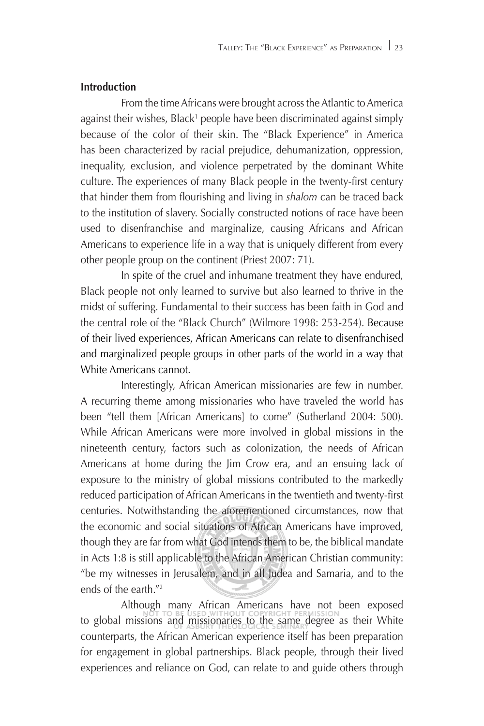#### **Introduction**

From the time Africans were brought across the Atlantic to America against their wishes, Black<sup>1</sup> people have been discriminated against simply because of the color of their skin. The "Black Experience" in America has been characterized by racial prejudice, dehumanization, oppression, inequality, exclusion, and violence perpetrated by the dominant White culture. The experiences of many Black people in the twenty-first century that hinder them from flourishing and living in shalom can be traced back to the institution of slavery. Socially constructed notions of race have been used to disenfranchise and marginalize, causing Africans and African Americans to experience life in a way that is uniquely different from every other people group on the continent (Priest 2007: 71).

In spite of the cruel and inhumane treatment they have endured, Black people not only learned to survive but also learned to thrive in the midst of suffering. Fundamental to their success has been faith in God and the central role of the "Black Church" (Wilmore 1998: 253-254). Because of their lived experiences, African Americans can relate to disenfranchised and marginalized people groups in other parts of the world in a way that White Americans cannot.

Interestingly, African American missionaries are few in number. A recurring theme among missionaries who have traveled the world has been "tell them [African Americans] to come" (Sutherland 2004: 500). While African Americans were more involved in global missions in the nineteenth century, factors such as colonization, the needs of African Americans at home during the Jim Crow era, and an ensuing lack of exposure to the ministry of global missions contributed to the markedly reduced participation of African Americans in the twentieth and twenty-first centuries. Notwithstanding the aforementioned circumstances, now that the economic and social situations of African Americans have improved, though they are far from what God intends them to be, the biblical mandate in Acts 1:8 is still applicable to the African American Christian community: "be my witnesses in Jerusalem, and in all Judea and Samaria, and to the ends of the earth."2

Although many African Americans have not been exposed to global missions and missionaries to the same degree as their White counterparts, the African American experience itself has been preparation for engagement in global partnerships. Black people, through their lived experiences and reliance on God, can relate to and guide others through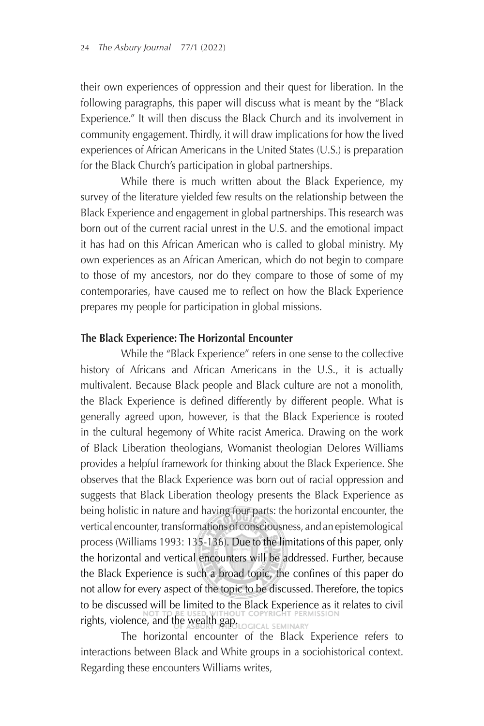their own experiences of oppression and their quest for liberation. In the following paragraphs, this paper will discuss what is meant by the "Black Experience." It will then discuss the Black Church and its involvement in community engagement. Thirdly, it will draw implications for how the lived experiences of African Americans in the United States (U.S.) is preparation for the Black Church's participation in global partnerships.

While there is much written about the Black Experience, my survey of the literature yielded few results on the relationship between the Black Experience and engagement in global partnerships. This research was born out of the current racial unrest in the U.S. and the emotional impact it has had on this African American who is called to global ministry. My own experiences as an African American, which do not begin to compare to those of my ancestors, nor do they compare to those of some of my contemporaries, have caused me to reflect on how the Black Experience prepares my people for participation in global missions.

#### **The Black Experience: The Horizontal Encounter**

While the "Black Experience" refers in one sense to the collective history of Africans and African Americans in the U.S., it is actually multivalent. Because Black people and Black culture are not a monolith, the Black Experience is defined differently by different people. What is generally agreed upon, however, is that the Black Experience is rooted in the cultural hegemony of White racist America. Drawing on the work of Black Liberation theologians, Womanist theologian Delores Williams provides a helpful framework for thinking about the Black Experience. She observes that the Black Experience was born out of racial oppression and suggests that Black Liberation theology presents the Black Experience as being holistic in nature and having four parts: the horizontal encounter, the vertical encounter, transformations of consciousness, and an epistemological process (Williams 1993: 135-136). Due to the limitations of this paper, only the horizontal and vertical encounters will be addressed. Further, because the Black Experience is such a broad topic, the confines of this paper do not allow for every aspect of the topic to be discussed. Therefore, the topics to be discussed will be limited to the Black Experience as it relates to civil rights, violence, and the wealth gap. OGICAL SEMINARY

The horizontal encounter of the Black Experience refers to interactions between Black and White groups in a sociohistorical context. Regarding these encounters Williams writes,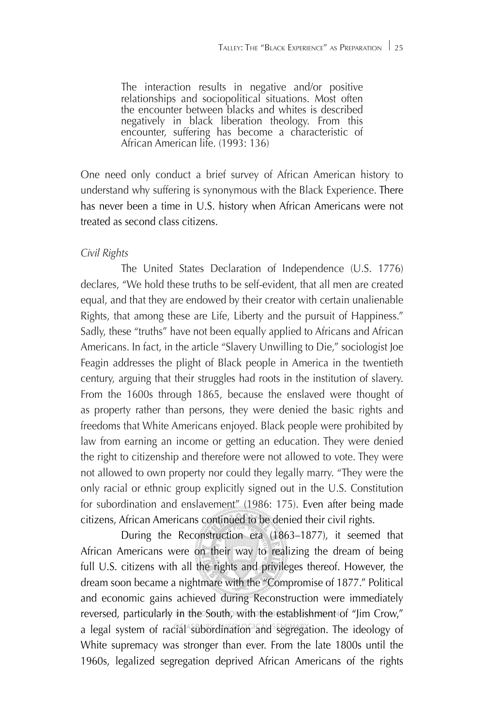The interaction results in negative and/or positive relationships and sociopolitical situations. Most often the encounter between blacks and whites is described negatively in black liberation theology. From this encounter, suffering has become a characteristic of African American life. (1993: 136)

One need only conduct a brief survey of African American history to understand why suffering is synonymous with the Black Experience. There has never been a time in U.S. history when African Americans were not treated as second class citizens.

### *Civil Rights*

The United States Declaration of Independence (U.S. 1776) declares, "We hold these truths to be self-evident, that all men are created equal, and that they are endowed by their creator with certain unalienable Rights, that among these are Life, Liberty and the pursuit of Happiness." Sadly, these "truths" have not been equally applied to Africans and African Americans. In fact, in the article "Slavery Unwilling to Die," sociologist Joe Feagin addresses the plight of Black people in America in the twentieth century, arguing that their struggles had roots in the institution of slavery. From the 1600s through 1865, because the enslaved were thought of as property rather than persons, they were denied the basic rights and freedoms that White Americans enjoyed. Black people were prohibited by law from earning an income or getting an education. They were denied the right to citizenship and therefore were not allowed to vote. They were not allowed to own property nor could they legally marry. "They were the only racial or ethnic group explicitly signed out in the U.S. Constitution for subordination and enslavement" (1986: 175). Even after being made citizens, African Americans continued to be denied their civil rights.

During the Reconstruction era (1863–1877), it seemed that African Americans were on their way to realizing the dream of being full U.S. citizens with all the rights and privileges thereof. However, the dream soon became a nightmare with the "Compromise of 1877." Political and economic gains achieved during Reconstruction were immediately reversed, particularly in the South, with the establishment of "Jim Crow," a legal system of racial subordination and segregation. The ideology of White supremacy was stronger than ever. From the late 1800s until the 1960s, legalized segregation deprived African Americans of the rights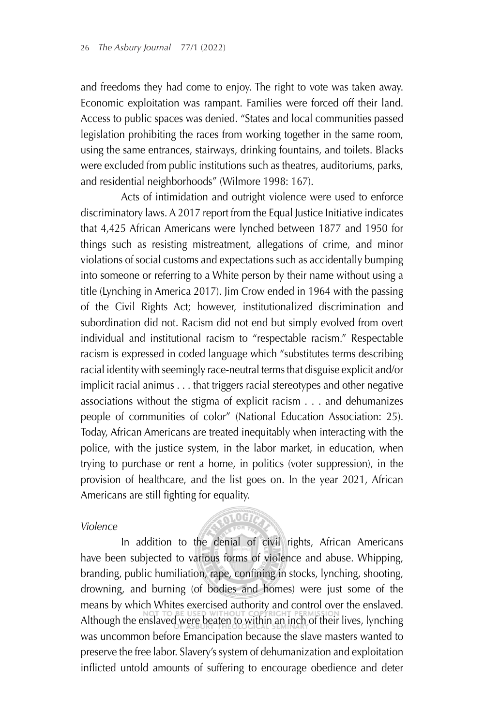and freedoms they had come to enjoy. The right to vote was taken away. Economic exploitation was rampant. Families were forced off their land. Access to public spaces was denied. "States and local communities passed legislation prohibiting the races from working together in the same room, using the same entrances, stairways, drinking fountains, and toilets. Blacks were excluded from public institutions such as theatres, auditoriums, parks, and residential neighborhoods" (Wilmore 1998: 167).

Acts of intimidation and outright violence were used to enforce discriminatory laws. A 2017 report from the Equal Justice Initiative indicates that 4,425 African Americans were lynched between 1877 and 1950 for things such as resisting mistreatment, allegations of crime, and minor violations of social customs and expectations such as accidentally bumping into someone or referring to a White person by their name without using a title (Lynching in America 2017). Jim Crow ended in 1964 with the passing of the Civil Rights Act; however, institutionalized discrimination and subordination did not. Racism did not end but simply evolved from overt individual and institutional racism to "respectable racism." Respectable racism is expressed in coded language which "substitutes terms describing racial identity with seemingly race-neutral terms that disguise explicit and/or implicit racial animus . . . that triggers racial stereotypes and other negative associations without the stigma of explicit racism . . . and dehumanizes people of communities of color" (National Education Association: 25). Today, African Americans are treated inequitably when interacting with the police, with the justice system, in the labor market, in education, when trying to purchase or rent a home, in politics (voter suppression), in the provision of healthcare, and the list goes on. In the year 2021, African Americans are still fighting for equality.

#### *Violence*

## **51.0G72**

In addition to the denial of civil rights, African Americans have been subjected to various forms of violence and abuse. Whipping, branding, public humiliation, rape, confining in stocks, lynching, shooting, drowning, and burning (of bodies and homes) were just some of the means by which Whites exercised authority and control over the enslaved. Although the enslaved were beaten to within an inch of their lives, lynching was uncommon before Emancipation because the slave masters wanted to preserve the free labor. Slavery's system of dehumanization and exploitation inflicted untold amounts of suffering to encourage obedience and deter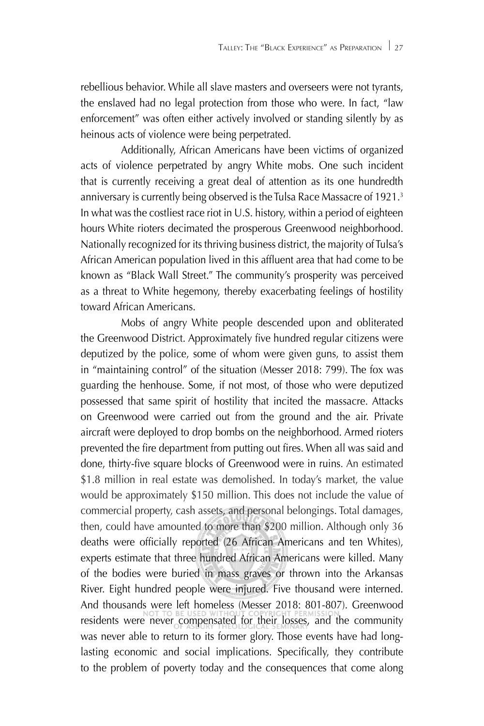rebellious behavior. While all slave masters and overseers were not tyrants, the enslaved had no legal protection from those who were. In fact, "law enforcement" was often either actively involved or standing silently by as heinous acts of violence were being perpetrated.

Additionally, African Americans have been victims of organized acts of violence perpetrated by angry White mobs. One such incident that is currently receiving a great deal of attention as its one hundredth anniversary is currently being observed is the Tulsa Race Massacre of 1921.3 In what was the costliest race riot in U.S. history, within a period of eighteen hours White rioters decimated the prosperous Greenwood neighborhood. Nationally recognized for its thriving business district, the majority of Tulsa's African American population lived in this affluent area that had come to be known as "Black Wall Street." The community's prosperity was perceived as a threat to White hegemony, thereby exacerbating feelings of hostility toward African Americans.

Mobs of angry White people descended upon and obliterated the Greenwood District. Approximately five hundred regular citizens were deputized by the police, some of whom were given guns, to assist them in "maintaining control" of the situation (Messer 2018: 799). The fox was guarding the henhouse. Some, if not most, of those who were deputized possessed that same spirit of hostility that incited the massacre. Attacks on Greenwood were carried out from the ground and the air. Private aircraft were deployed to drop bombs on the neighborhood. Armed rioters prevented the fire department from putting out fires. When all was said and done, thirty-five square blocks of Greenwood were in ruins. An estimated \$1.8 million in real estate was demolished. In today's market, the value would be approximately \$150 million. This does not include the value of commercial property, cash assets, and personal belongings. Total damages, then, could have amounted to more than \$200 million. Although only 36 deaths were officially reported (26 African Americans and ten Whites), experts estimate that three hundred African Americans were killed. Many of the bodies were buried in mass graves or thrown into the Arkansas River. Eight hundred people were injured. Five thousand were interned. And thousands were left homeless (Messer 2018: 801-807). Greenwood residents were never compensated for their losses, and the community was never able to return to its former glory. Those events have had longlasting economic and social implications. Specifically, they contribute to the problem of poverty today and the consequences that come along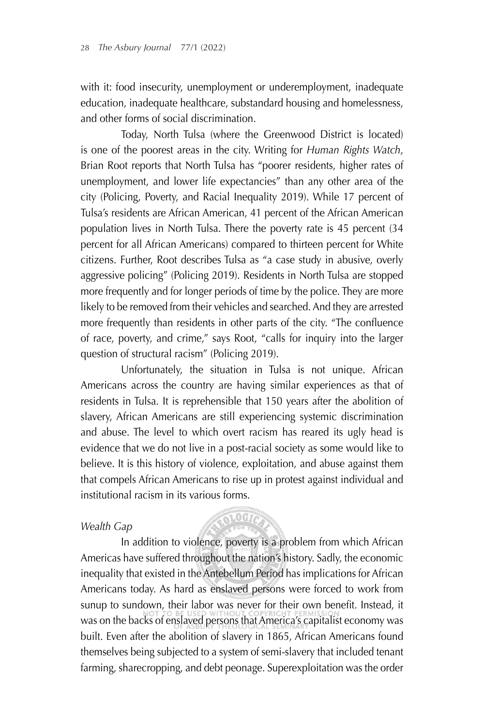with it: food insecurity, unemployment or underemployment, inadequate education, inadequate healthcare, substandard housing and homelessness, and other forms of social discrimination.

Today, North Tulsa (where the Greenwood District is located) is one of the poorest areas in the city. Writing for *Human Rights Watch*, Brian Root reports that North Tulsa has "poorer residents, higher rates of unemployment, and lower life expectancies" than any other area of the city (Policing, Poverty, and Racial Inequality 2019). While 17 percent of Tulsa's residents are African American, 41 percent of the African American population lives in North Tulsa. There the poverty rate is 45 percent (34 percent for all African Americans) compared to thirteen percent for White citizens. Further, Root describes Tulsa as "a case study in abusive, overly aggressive policing" (Policing 2019). Residents in North Tulsa are stopped more frequently and for longer periods of time by the police. They are more likely to be removed from their vehicles and searched. And they are arrested more frequently than residents in other parts of the city. "The confluence of race, poverty, and crime," says Root, "calls for inquiry into the larger question of structural racism" (Policing 2019).

Unfortunately, the situation in Tulsa is not unique. African Americans across the country are having similar experiences as that of residents in Tulsa. It is reprehensible that 150 years after the abolition of slavery, African Americans are still experiencing systemic discrimination and abuse. The level to which overt racism has reared its ugly head is evidence that we do not live in a post-racial society as some would like to believe. It is this history of violence, exploitation, and abuse against them that compels African Americans to rise up in protest against individual and institutional racism in its various forms.

#### *Wealth Gap*

## 1.007

In addition to violence, poverty is a problem from which African Americas have suffered throughout the nation's history. Sadly, the economic inequality that existed in the Antebellum Period has implications for African Americans today. As hard as enslaved persons were forced to work from sunup to sundown, their labor was never for their own benefit. Instead, it was on the backs of enslaved persons that America's capitalist economy was built. Even after the abolition of slavery in 1865, African Americans found themselves being subjected to a system of semi-slavery that included tenant farming, sharecropping, and debt peonage. Superexploitation was the order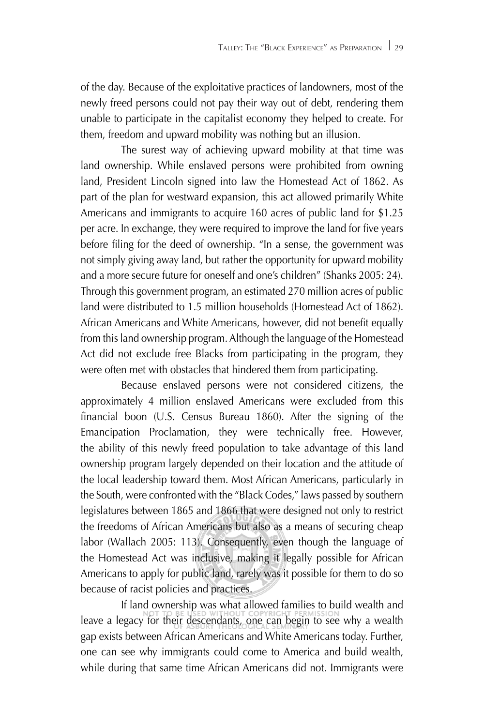of the day. Because of the exploitative practices of landowners, most of the newly freed persons could not pay their way out of debt, rendering them unable to participate in the capitalist economy they helped to create. For them, freedom and upward mobility was nothing but an illusion.

The surest way of achieving upward mobility at that time was land ownership. While enslaved persons were prohibited from owning land, President Lincoln signed into law the Homestead Act of 1862. As part of the plan for westward expansion, this act allowed primarily White Americans and immigrants to acquire 160 acres of public land for \$1.25 per acre. In exchange, they were required to improve the land for five years before filing for the deed of ownership. "In a sense, the government was not simply giving away land, but rather the opportunity for upward mobility and a more secure future for oneself and one's children" (Shanks 2005: 24). Through this government program, an estimated 270 million acres of public land were distributed to 1.5 million households (Homestead Act of 1862). African Americans and White Americans, however, did not benefit equally from this land ownership program. Although the language of the Homestead Act did not exclude free Blacks from participating in the program, they were often met with obstacles that hindered them from participating.

Because enslaved persons were not considered citizens, the approximately 4 million enslaved Americans were excluded from this financial boon (U.S. Census Bureau 1860). After the signing of the Emancipation Proclamation, they were technically free. However, the ability of this newly freed population to take advantage of this land ownership program largely depended on their location and the attitude of the local leadership toward them. Most African Americans, particularly in the South, were confronted with the "Black Codes," laws passed by southern legislatures between 1865 and 1866 that were designed not only to restrict the freedoms of African Americans but also as a means of securing cheap labor (Wallach 2005: 113). Consequently, even though the language of the Homestead Act was inclusive, making it legally possible for African Americans to apply for public land, rarely was it possible for them to do so because of racist policies and practices.

If land ownership was what allowed families to build wealth and leave a legacy for their descendants, one can begin to see why a wealth gap exists between African Americans and White Americans today. Further, one can see why immigrants could come to America and build wealth, while during that same time African Americans did not. Immigrants were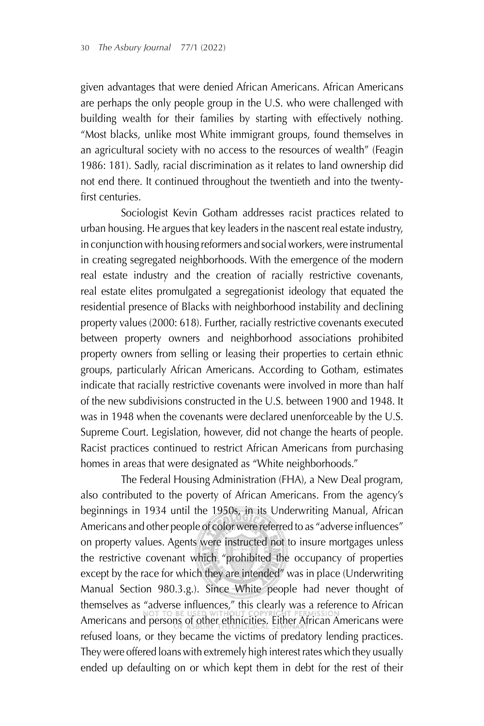given advantages that were denied African Americans. African Americans are perhaps the only people group in the U.S. who were challenged with building wealth for their families by starting with effectively nothing. "Most blacks, unlike most White immigrant groups, found themselves in an agricultural society with no access to the resources of wealth" (Feagin 1986: 181). Sadly, racial discrimination as it relates to land ownership did not end there. It continued throughout the twentieth and into the twentyfirst centuries.

Sociologist Kevin Gotham addresses racist practices related to urban housing. He argues that key leaders in the nascent real estate industry, in conjunction with housing reformers and social workers, were instrumental in creating segregated neighborhoods. With the emergence of the modern real estate industry and the creation of racially restrictive covenants, real estate elites promulgated a segregationist ideology that equated the residential presence of Blacks with neighborhood instability and declining property values (2000: 618). Further, racially restrictive covenants executed between property owners and neighborhood associations prohibited property owners from selling or leasing their properties to certain ethnic groups, particularly African Americans. According to Gotham, estimates indicate that racially restrictive covenants were involved in more than half of the new subdivisions constructed in the U.S. between 1900 and 1948. It was in 1948 when the covenants were declared unenforceable by the U.S. Supreme Court. Legislation, however, did not change the hearts of people. Racist practices continued to restrict African Americans from purchasing homes in areas that were designated as "White neighborhoods."

The Federal Housing Administration (FHA), a New Deal program, also contributed to the poverty of African Americans. From the agency's beginnings in 1934 until the 1950s, in its Underwriting Manual, African Americans and other people of color were referred to as "adverse influences" on property values. Agents were instructed not to insure mortgages unless the restrictive covenant which "prohibited the occupancy of properties except by the race for which they are intended" was in place (Underwriting Manual Section 980.3.g.). Since White people had never thought of themselves as "adverse influences," this clearly was a reference to African Americans and persons of other ethnicities. Either African Americans were refused loans, or they became the victims of predatory lending practices. They were offered loans with extremely high interest rates which they usually ended up defaulting on or which kept them in debt for the rest of their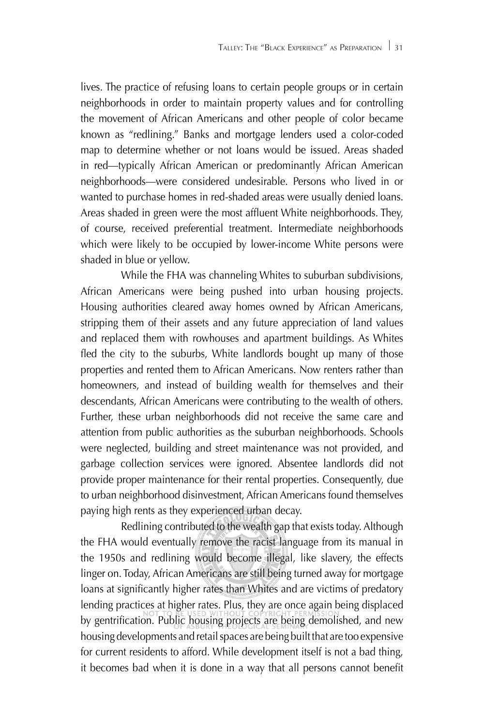lives. The practice of refusing loans to certain people groups or in certain neighborhoods in order to maintain property values and for controlling the movement of African Americans and other people of color became known as "redlining." Banks and mortgage lenders used a color-coded map to determine whether or not loans would be issued. Areas shaded in red—typically African American or predominantly African American neighborhoods—were considered undesirable. Persons who lived in or wanted to purchase homes in red-shaded areas were usually denied loans. Areas shaded in green were the most affluent White neighborhoods. They, of course, received preferential treatment. Intermediate neighborhoods which were likely to be occupied by lower-income White persons were shaded in blue or yellow.

While the FHA was channeling Whites to suburban subdivisions, African Americans were being pushed into urban housing projects. Housing authorities cleared away homes owned by African Americans, stripping them of their assets and any future appreciation of land values and replaced them with rowhouses and apartment buildings. As Whites fled the city to the suburbs, White landlords bought up many of those properties and rented them to African Americans. Now renters rather than homeowners, and instead of building wealth for themselves and their descendants, African Americans were contributing to the wealth of others. Further, these urban neighborhoods did not receive the same care and attention from public authorities as the suburban neighborhoods. Schools were neglected, building and street maintenance was not provided, and garbage collection services were ignored. Absentee landlords did not provide proper maintenance for their rental properties. Consequently, due to urban neighborhood disinvestment, African Americans found themselves paying high rents as they experienced urban decay.

Redlining contributed to the wealth gap that exists today. Although the FHA would eventually remove the racist language from its manual in the 1950s and redlining would become illegal, like slavery, the effects linger on. Today, African Americans are still being turned away for mortgage loans at significantly higher rates than Whites and are victims of predatory lending practices at higher rates. Plus, they are once again being displaced by gentrification. Public housing projects are being demolished, and new housing developments and retail spaces are being built that are too expensive for current residents to afford. While development itself is not a bad thing, it becomes bad when it is done in a way that all persons cannot benefit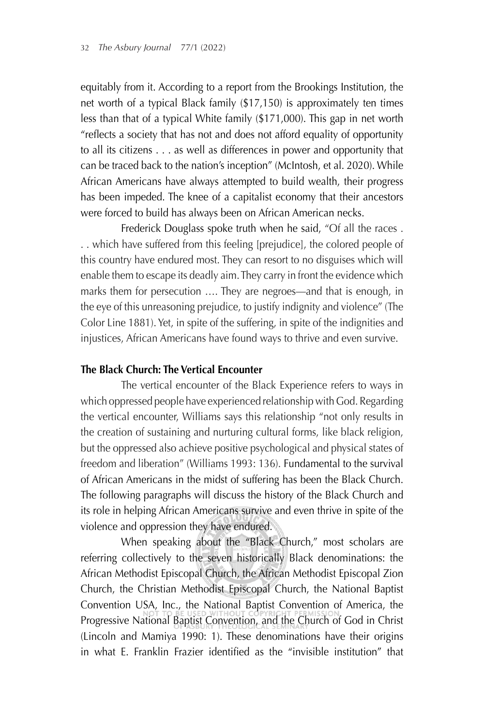equitably from it. According to a report from the Brookings Institution, the net worth of a typical Black family (\$17,150) is approximately ten times less than that of a typical White family (\$171,000). This gap in net worth "reflects a society that has not and does not afford equality of opportunity to all its citizens . . . as well as differences in power and opportunity that can be traced back to the nation's inception" (McIntosh, et al. 2020). While African Americans have always attempted to build wealth, their progress has been impeded. The knee of a capitalist economy that their ancestors were forced to build has always been on African American necks.

Frederick Douglass spoke truth when he said, "Of all the races . . . which have suffered from this feeling [prejudice], the colored people of this country have endured most. They can resort to no disguises which will enable them to escape its deadly aim. They carry in front the evidence which marks them for persecution …. They are negroes—and that is enough, in the eye of this unreasoning prejudice, to justify indignity and violence" (The Color Line 1881). Yet, in spite of the suffering, in spite of the indignities and injustices, African Americans have found ways to thrive and even survive.

#### **The Black Church: The Vertical Encounter**

The vertical encounter of the Black Experience refers to ways in which oppressed people have experienced relationship with God. Regarding the vertical encounter, Williams says this relationship "not only results in the creation of sustaining and nurturing cultural forms, like black religion, but the oppressed also achieve positive psychological and physical states of freedom and liberation" (Williams 1993: 136). Fundamental to the survival of African Americans in the midst of suffering has been the Black Church. The following paragraphs will discuss the history of the Black Church and its role in helping African Americans survive and even thrive in spite of the violence and oppression they have endured.

When speaking about the "Black Church," most scholars are referring collectively to the seven historically Black denominations: the African Methodist Episcopal Church, the African Methodist Episcopal Zion Church, the Christian Methodist Episcopal Church, the National Baptist Convention USA, Inc., the National Baptist Convention of America, the Progressive National Baptist Convention, and the Church of God in Christ (Lincoln and Mamiya 1990: 1). These denominations have their origins in what E. Franklin Frazier identified as the "invisible institution" that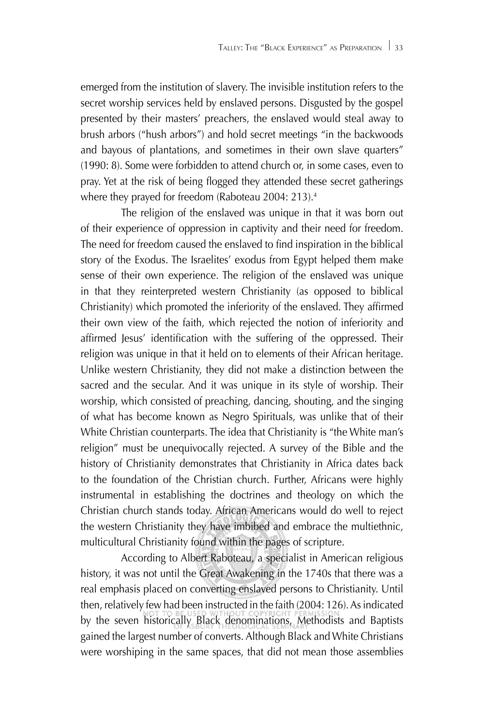emerged from the institution of slavery. The invisible institution refers to the secret worship services held by enslaved persons. Disgusted by the gospel presented by their masters' preachers, the enslaved would steal away to brush arbors ("hush arbors") and hold secret meetings "in the backwoods and bayous of plantations, and sometimes in their own slave quarters" (1990: 8). Some were forbidden to attend church or, in some cases, even to pray. Yet at the risk of being flogged they attended these secret gatherings where they prayed for freedom (Raboteau 2004: 213).<sup>4</sup>

The religion of the enslaved was unique in that it was born out of their experience of oppression in captivity and their need for freedom. The need for freedom caused the enslaved to find inspiration in the biblical story of the Exodus. The Israelites' exodus from Egypt helped them make sense of their own experience. The religion of the enslaved was unique in that they reinterpreted western Christianity (as opposed to biblical Christianity) which promoted the inferiority of the enslaved. They affirmed their own view of the faith, which rejected the notion of inferiority and affirmed Jesus' identification with the suffering of the oppressed. Their religion was unique in that it held on to elements of their African heritage. Unlike western Christianity, they did not make a distinction between the sacred and the secular. And it was unique in its style of worship. Their worship, which consisted of preaching, dancing, shouting, and the singing of what has become known as Negro Spirituals, was unlike that of their White Christian counterparts. The idea that Christianity is "the White man's religion" must be unequivocally rejected. A survey of the Bible and the history of Christianity demonstrates that Christianity in Africa dates back to the foundation of the Christian church. Further, Africans were highly instrumental in establishing the doctrines and theology on which the Christian church stands today. African Americans would do well to reject the western Christianity they have imbibed and embrace the multiethnic, multicultural Christianity found within the pages of scripture.

According to Albert Raboteau, a specialist in American religious history, it was not until the Great Awakening in the 1740s that there was a real emphasis placed on converting enslaved persons to Christianity. Until then, relatively few had been instructed in the faith (2004: 126). As indicated by the seven historically Black denominations, Methodists and Baptists gained the largest number of converts. Although Black and White Christians were worshiping in the same spaces, that did not mean those assemblies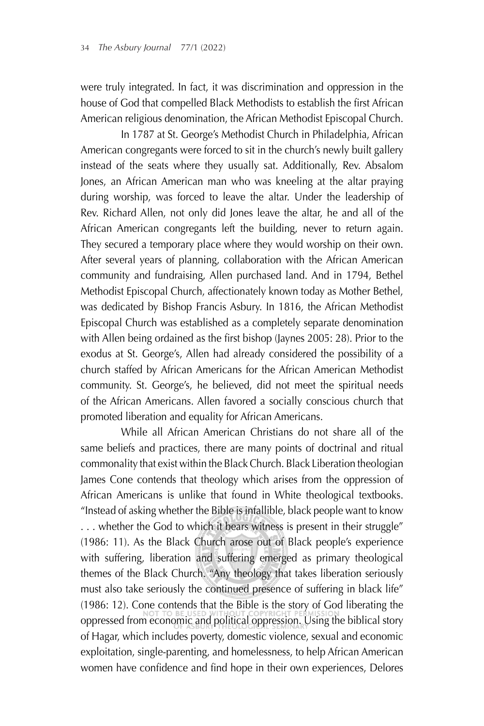were truly integrated. In fact, it was discrimination and oppression in the house of God that compelled Black Methodists to establish the first African American religious denomination, the African Methodist Episcopal Church.

In 1787 at St. George's Methodist Church in Philadelphia, African American congregants were forced to sit in the church's newly built gallery instead of the seats where they usually sat. Additionally, Rev. Absalom Jones, an African American man who was kneeling at the altar praying during worship, was forced to leave the altar. Under the leadership of Rev. Richard Allen, not only did Jones leave the altar, he and all of the African American congregants left the building, never to return again. They secured a temporary place where they would worship on their own. After several years of planning, collaboration with the African American community and fundraising, Allen purchased land. And in 1794, Bethel Methodist Episcopal Church, affectionately known today as Mother Bethel, was dedicated by Bishop Francis Asbury. In 1816, the African Methodist Episcopal Church was established as a completely separate denomination with Allen being ordained as the first bishop (Jaynes 2005: 28). Prior to the exodus at St. George's, Allen had already considered the possibility of a church staffed by African Americans for the African American Methodist community. St. George's, he believed, did not meet the spiritual needs of the African Americans. Allen favored a socially conscious church that promoted liberation and equality for African Americans.

While all African American Christians do not share all of the same beliefs and practices, there are many points of doctrinal and ritual commonality that exist within the Black Church. Black Liberation theologian James Cone contends that theology which arises from the oppression of African Americans is unlike that found in White theological textbooks. "Instead of asking whether the Bible is infallible, black people want to know ... whether the God to which it bears witness is present in their struggle" (1986: 11). As the Black Church arose out of Black people's experience with suffering, liberation and suffering emerged as primary theological themes of the Black Church. "Any theology that takes liberation seriously must also take seriously the continued presence of suffering in black life" (1986: 12). Cone contends that the Bible is the story of God liberating the oppressed from economic and political oppression. Using the biblical story of Hagar, which includes poverty, domestic violence, sexual and economic exploitation, single-parenting, and homelessness, to help African American women have confidence and find hope in their own experiences, Delores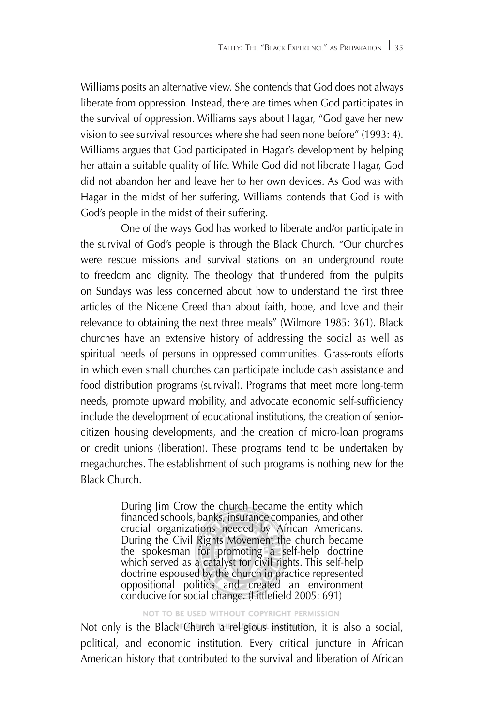Williams posits an alternative view. She contends that God does not always liberate from oppression. Instead, there are times when God participates in the survival of oppression. Williams says about Hagar, "God gave her new vision to see survival resources where she had seen none before" (1993: 4). Williams argues that God participated in Hagar's development by helping her attain a suitable quality of life. While God did not liberate Hagar, God did not abandon her and leave her to her own devices. As God was with Hagar in the midst of her suffering, Williams contends that God is with God's people in the midst of their suffering.

One of the ways God has worked to liberate and/or participate in the survival of God's people is through the Black Church. "Our churches were rescue missions and survival stations on an underground route to freedom and dignity. The theology that thundered from the pulpits on Sundays was less concerned about how to understand the first three articles of the Nicene Creed than about faith, hope, and love and their relevance to obtaining the next three meals" (Wilmore 1985: 361). Black churches have an extensive history of addressing the social as well as spiritual needs of persons in oppressed communities. Grass-roots efforts in which even small churches can participate include cash assistance and food distribution programs (survival). Programs that meet more long-term needs, promote upward mobility, and advocate economic self-sufficiency include the development of educational institutions, the creation of seniorcitizen housing developments, and the creation of micro-loan programs or credit unions (liberation). These programs tend to be undertaken by megachurches. The establishment of such programs is nothing new for the Black Church.

> During Jim Crow the church became the entity which financed schools, banks, insurance companies, and other crucial organizations needed by African Americans. During the Civil Rights Movement the church became the spokesman for promoting a self-help doctrine which served as a catalyst for civil rights. This self-help doctrine espoused by the church in practice represented oppositional politics and created an environment conducive for social change. (Littlefield  $2005:691$ )

NOT TO BE USED WITHOUT COPYRIGHT PERMISSION

Not only is the Black Church a religious institution, it is also a social, political, and economic institution. Every critical juncture in African American history that contributed to the survival and liberation of African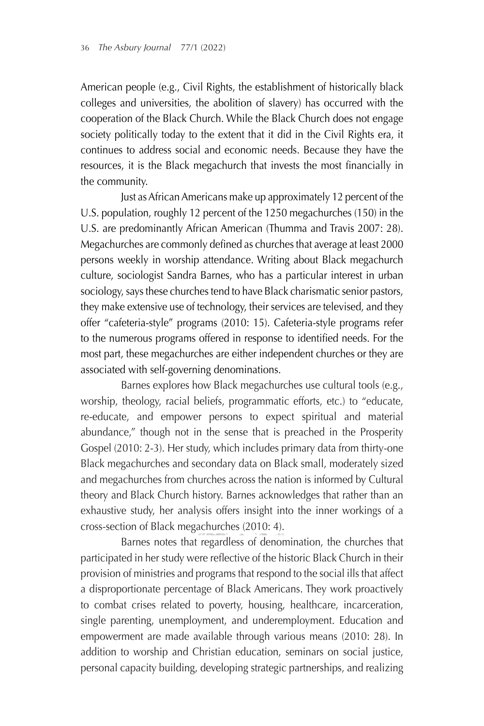American people (e.g., Civil Rights, the establishment of historically black colleges and universities, the abolition of slavery) has occurred with the cooperation of the Black Church. While the Black Church does not engage society politically today to the extent that it did in the Civil Rights era, it continues to address social and economic needs. Because they have the resources, it is the Black megachurch that invests the most financially in the community.

Just as African Americans make up approximately 12 percent of the U.S. population, roughly 12 percent of the 1250 megachurches (150) in the U.S. are predominantly African American (Thumma and Travis 2007: 28). Megachurches are commonly defined as churches that average at least 2000 persons weekly in worship attendance. Writing about Black megachurch culture, sociologist Sandra Barnes, who has a particular interest in urban sociology, says these churches tend to have Black charismatic senior pastors, they make extensive use of technology, their services are televised, and they offer "cafeteria-style" programs (2010: 15). Cafeteria-style programs refer to the numerous programs offered in response to identified needs. For the most part, these megachurches are either independent churches or they are associated with self-governing denominations.

Barnes explores how Black megachurches use cultural tools (e.g., worship, theology, racial beliefs, programmatic efforts, etc.) to "educate, re-educate, and empower persons to expect spiritual and material abundance," though not in the sense that is preached in the Prosperity Gospel (2010: 2-3). Her study, which includes primary data from thirty-one Black megachurches and secondary data on Black small, moderately sized and megachurches from churches across the nation is informed by Cultural theory and Black Church history. Barnes acknowledges that rather than an exhaustive study, her analysis offers insight into the inner workings of a cross-section of Black megachurches (2010: 4).

Barnes notes that regardless of denomination, the churches that participated in her study were reflective of the historic Black Church in their provision of ministries and programs that respond to the social ills that affect a disproportionate percentage of Black Americans. They work proactively to combat crises related to poverty, housing, healthcare, incarceration, single parenting, unemployment, and underemployment. Education and empowerment are made available through various means (2010: 28). In addition to worship and Christian education, seminars on social justice, personal capacity building, developing strategic partnerships, and realizing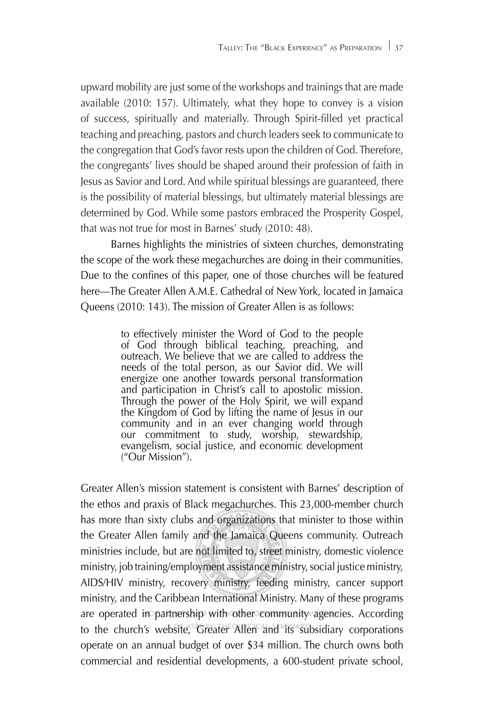upward mobility are just some of the workshops and trainings that are made available (2010: 157). Ultimately, what they hope to convey is a vision of success, spiritually and materially. Through Spirit-filled yet practical teaching and preaching, pastors and church leaders seek to communicate to the congregation that God's favor rests upon the children of God. Therefore, the congregants' lives should be shaped around their profession of faith in Jesus as Savior and Lord. And while spiritual blessings are guaranteed, there is the possibility of material blessings, but ultimately material blessings are determined by God. While some pastors embraced the Prosperity Gospel, that was not true for most in Barnes' study (2010: 48).

Barnes highlights the ministries of sixteen churches, demonstrating the scope of the work these megachurches are doing in their communities. Due to the confines of this paper, one of those churches will be featured here—The Greater Allen A.M.E. Cathedral of New York, located in Jamaica Queens (2010: 143). The mission of Greater Allen is as follows:

> to effectively minister the Word of God to the people of God through biblical teaching, preaching, and outreach. We believe that we are called to address the needs of the total person, as our Savior did. We will energize one another towards personal transformation and participation in Christ's call to apostolic mission. Through the power of the Holy Spirit, we will expand the Kingdom of God by lifting the name of Jesus in our community and in an ever changing world through our commitment to study, worship, stewardship, evangelism, social justice, and economic development ("Our Mission").

Greater Allen's mission statement is consistent with Barnes' description of the ethos and praxis of Black megachurches. This 23,000-member church has more than sixty clubs and organizations that minister to those within the Greater Allen family and the Jamaica Queens community. Outreach ministries include, but are not limited to, street ministry, domestic violence ministry, job training/employment assistance ministry, social justice ministry, AIDS/HIV ministry, recovery ministry, feeding ministry, cancer support ministry, and the Caribbean International Ministry. Many of these programs are operated in partnership with other community agencies. According to the church's website, Greater Allen and its subsidiary corporations operate on an annual budget of over \$34 million. The church owns both commercial and residential developments, a 600-student private school,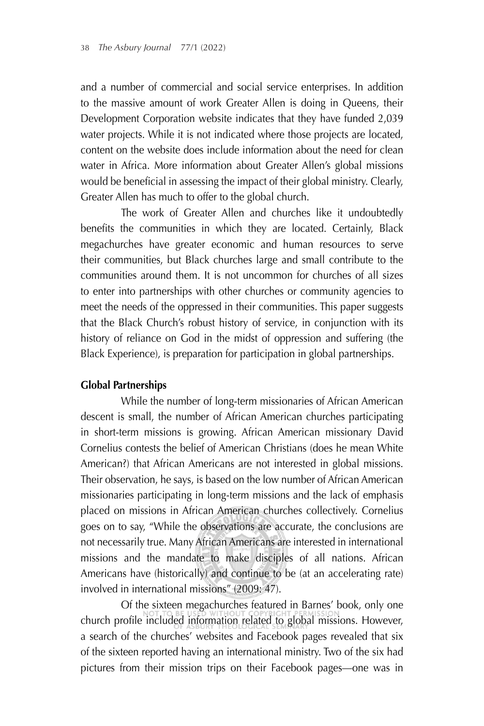and a number of commercial and social service enterprises. In addition to the massive amount of work Greater Allen is doing in Queens, their Development Corporation website indicates that they have funded 2,039 water projects. While it is not indicated where those projects are located, content on the website does include information about the need for clean water in Africa. More information about Greater Allen's global missions would be beneficial in assessing the impact of their global ministry. Clearly, Greater Allen has much to offer to the global church.

The work of Greater Allen and churches like it undoubtedly benefits the communities in which they are located. Certainly, Black megachurches have greater economic and human resources to serve their communities, but Black churches large and small contribute to the communities around them. It is not uncommon for churches of all sizes to enter into partnerships with other churches or community agencies to meet the needs of the oppressed in their communities. This paper suggests that the Black Church's robust history of service, in conjunction with its history of reliance on God in the midst of oppression and suffering (the Black Experience), is preparation for participation in global partnerships.

#### **Global Partnerships**

While the number of long-term missionaries of African American descent is small, the number of African American churches participating in short-term missions is growing. African American missionary David Cornelius contests the belief of American Christians (does he mean White American?) that African Americans are not interested in global missions. Their observation, he says, is based on the low number of African American missionaries participating in long-term missions and the lack of emphasis placed on missions in African American churches collectively. Cornelius goes on to say, "While the observations are accurate, the conclusions are not necessarily true. Many African Americans are interested in international missions and the mandate to make disciples of all nations. African Americans have (historically) and continue to be (at an accelerating rate) involved in international missions" (2009: 47).

Of the sixteen megachurches featured in Barnes' book, only one church profile included information related to global missions. However, a search of the churches' websites and Facebook pages revealed that six of the sixteen reported having an international ministry. Two of the six had pictures from their mission trips on their Facebook pages—one was in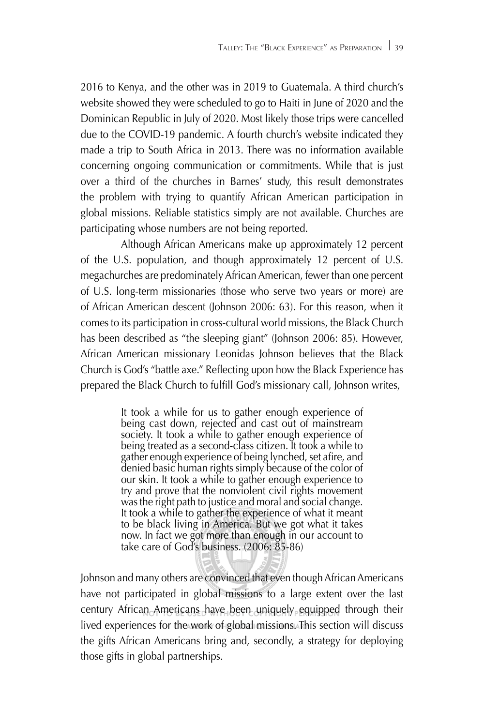2016 to Kenya, and the other was in 2019 to Guatemala. A third church's website showed they were scheduled to go to Haiti in June of 2020 and the Dominican Republic in July of 2020. Most likely those trips were cancelled due to the COVID-19 pandemic. A fourth church's website indicated they made a trip to South Africa in 2013. There was no information available concerning ongoing communication or commitments. While that is just over a third of the churches in Barnes' study, this result demonstrates the problem with trying to quantify African American participation in global missions. Reliable statistics simply are not available. Churches are participating whose numbers are not being reported.

Although African Americans make up approximately 12 percent of the U.S. population, and though approximately 12 percent of U.S. megachurches are predominately African American, fewer than one percent of U.S. long-term missionaries (those who serve two years or more) are of African American descent (Johnson 2006: 63). For this reason, when it comes to its participation in cross-cultural world missions, the Black Church has been described as "the sleeping giant" (Johnson 2006: 85). However, African American missionary Leonidas Johnson believes that the Black Church is God's "battle axe." Reflecting upon how the Black Experience has prepared the Black Church to fulfill God's missionary call, Johnson writes,

> It took a while for us to gather enough experience of being cast down, rejected and cast out of mainstream society. It took a while to gather enough experience of being treated as a second-class citizen. It took a while to gather enough experience of being lynched, set afire, and denied basic human rights simply because of the color of our skin. It took a while to gather enough experience to try and prove that the nonviolent civil rights movement was the right path to justice and moral and social change. It took a while to gather the experience of what it meant to be black living in America. But we got what it takes now. In fact we got more than enough in our account to take care of God's business. (2006: 85-86)

Johnson and many others are convinced that even though African Americans have not participated in global missions to a large extent over the last century African Americans have been uniquely equipped through their lived experiences for the work of global missions. This section will discuss the gifts African Americans bring and, secondly, a strategy for deploying those gifts in global partnerships.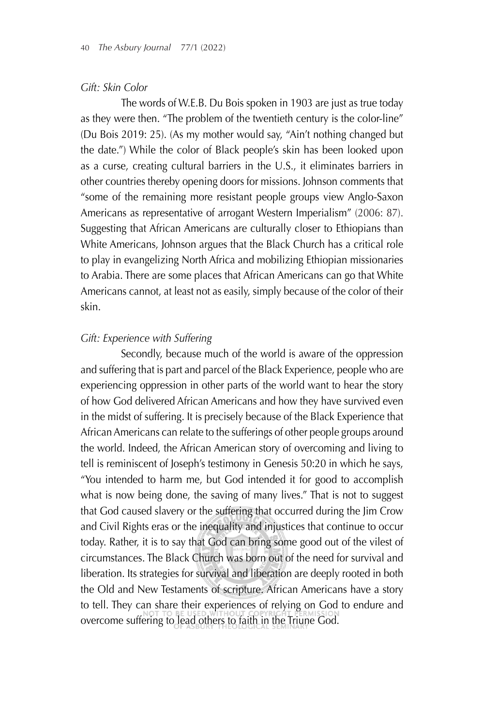#### *Gift: Skin Color*

The words of W.E.B. Du Bois spoken in 1903 are just as true today as they were then. "The problem of the twentieth century is the color-line" (Du Bois 2019: 25). (As my mother would say, "Ain't nothing changed but the date.") While the color of Black people's skin has been looked upon as a curse, creating cultural barriers in the U.S., it eliminates barriers in other countries thereby opening doors for missions. Johnson comments that "some of the remaining more resistant people groups view Anglo-Saxon Americans as representative of arrogant Western Imperialism" (2006: 87). Suggesting that African Americans are culturally closer to Ethiopians than White Americans, Johnson argues that the Black Church has a critical role to play in evangelizing North Africa and mobilizing Ethiopian missionaries to Arabia. There are some places that African Americans can go that White Americans cannot, at least not as easily, simply because of the color of their skin.

#### *Gift: Experience with Suffering*

Secondly, because much of the world is aware of the oppression and suffering that is part and parcel of the Black Experience, people who are experiencing oppression in other parts of the world want to hear the story of how God delivered African Americans and how they have survived even in the midst of suffering. It is precisely because of the Black Experience that African Americans can relate to the sufferings of other people groups around the world. Indeed, the African American story of overcoming and living to tell is reminiscent of Joseph's testimony in Genesis 50:20 in which he says, "You intended to harm me, but God intended it for good to accomplish what is now being done, the saving of many lives." That is not to suggest that God caused slavery or the suffering that occurred during the Jim Crow and Civil Rights eras or the inequality and injustices that continue to occur today. Rather, it is to say that God can bring some good out of the vilest of circumstances. The Black Church was born out of the need for survival and liberation. Its strategies for survival and liberation are deeply rooted in both the Old and New Testaments of scripture. African Americans have a story to tell. They can share their experiences of relying on God to endure and overcome suffering to lead others to faith in the Triune God.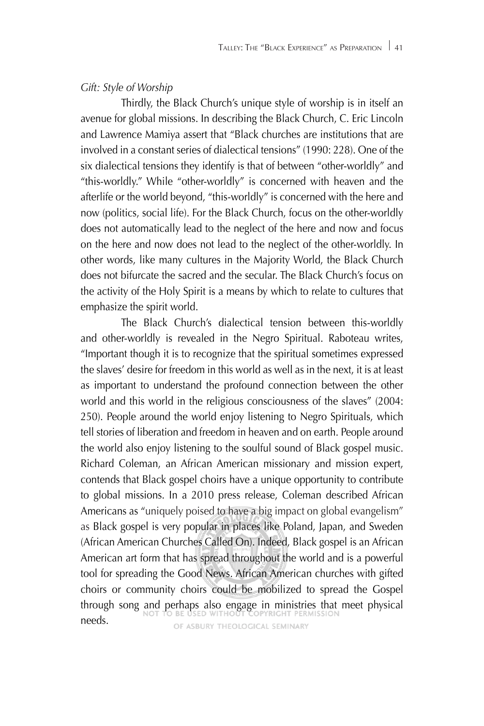#### *Gift: Style of Worship*

Thirdly, the Black Church's unique style of worship is in itself an avenue for global missions. In describing the Black Church, C. Eric Lincoln and Lawrence Mamiya assert that "Black churches are institutions that are involved in a constant series of dialectical tensions" (1990: 228). One of the six dialectical tensions they identify is that of between "other-worldly" and "this-worldly." While "other-worldly" is concerned with heaven and the afterlife or the world beyond, "this-worldly" is concerned with the here and now (politics, social life). For the Black Church, focus on the other-worldly does not automatically lead to the neglect of the here and now and focus on the here and now does not lead to the neglect of the other-worldly. In other words, like many cultures in the Majority World, the Black Church does not bifurcate the sacred and the secular. The Black Church's focus on the activity of the Holy Spirit is a means by which to relate to cultures that emphasize the spirit world.

The Black Church's dialectical tension between this-worldly and other-worldly is revealed in the Negro Spiritual. Raboteau writes, "Important though it is to recognize that the spiritual sometimes expressed the slaves' desire for freedom in this world as well as in the next, it is at least as important to understand the profound connection between the other world and this world in the religious consciousness of the slaves" (2004: 250). People around the world enjoy listening to Negro Spirituals, which tell stories of liberation and freedom in heaven and on earth. People around the world also enjoy listening to the soulful sound of Black gospel music. Richard Coleman, an African American missionary and mission expert, contends that Black gospel choirs have a unique opportunity to contribute to global missions. In a 2010 press release, Coleman described African Americans as "uniquely poised to have a big impact on global evangelism" as Black gospel is very popular in places like Poland, Japan, and Sweden (African American Churches Called On). Indeed, Black gospel is an African American art form that has spread throughout the world and is a powerful tool for spreading the Good News. African American churches with gifted choirs or community choirs could be mobilized to spread the Gospel through song and perhaps also engage in ministries that meet physical needs.OF ASBURY THEOLOGICAL SEMINARY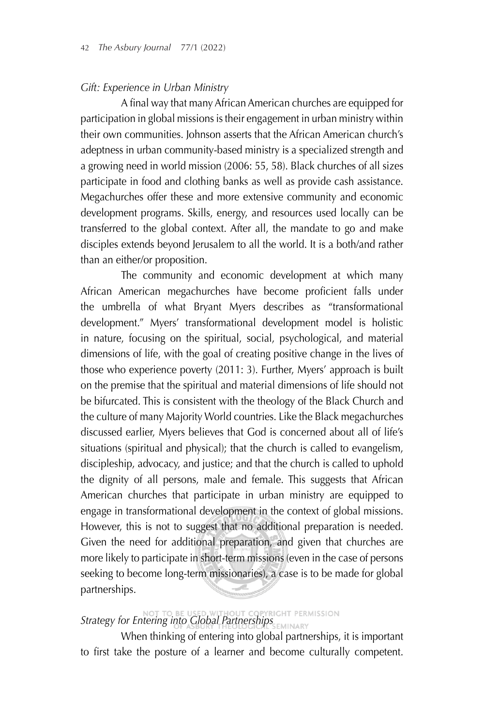#### *Gift: Experience in Urban Ministry*

A final way that many African American churches are equipped for participation in global missions is their engagement in urban ministry within their own communities. Johnson asserts that the African American church's adeptness in urban community-based ministry is a specialized strength and a growing need in world mission (2006: 55, 58). Black churches of all sizes participate in food and clothing banks as well as provide cash assistance. Megachurches offer these and more extensive community and economic development programs. Skills, energy, and resources used locally can be transferred to the global context. After all, the mandate to go and make disciples extends beyond Jerusalem to all the world. It is a both/and rather than an either/or proposition.

The community and economic development at which many African American megachurches have become proficient falls under the umbrella of what Bryant Myers describes as "transformational development." Myers' transformational development model is holistic in nature, focusing on the spiritual, social, psychological, and material dimensions of life, with the goal of creating positive change in the lives of those who experience poverty (2011: 3). Further, Myers' approach is built on the premise that the spiritual and material dimensions of life should not be bifurcated. This is consistent with the theology of the Black Church and the culture of many Majority World countries. Like the Black megachurches discussed earlier, Myers believes that God is concerned about all of life's situations (spiritual and physical); that the church is called to evangelism, discipleship, advocacy, and justice; and that the church is called to uphold the dignity of all persons, male and female. This suggests that African American churches that participate in urban ministry are equipped to engage in transformational development in the context of global missions. However, this is not to suggest that no additional preparation is needed. Given the need for additional preparation, and given that churches are more likely to participate in short-term missions (even in the case of persons seeking to become long-term missionaries), a case is to be made for global partnerships.

# **Strategy for Entering into Global Partnerships**

When thinking of entering into global partnerships, it is important to first take the posture of a learner and become culturally competent.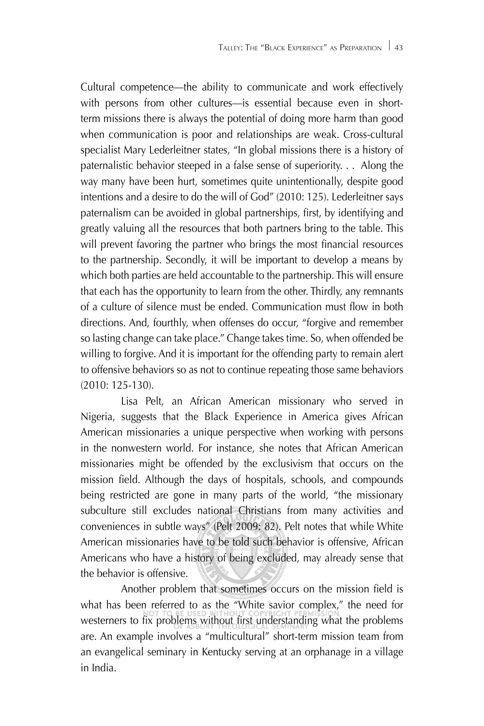Cultural competence—the ability to communicate and work effectively with persons from other cultures—is essential because even in shortterm missions there is always the potential of doing more harm than good when communication is poor and relationships are weak. Cross-cultural specialist Mary Lederleitner states, "In global missions there is a history of paternalistic behavior steeped in a false sense of superiority. . . Along the way many have been hurt, sometimes quite unintentionally, despite good intentions and a desire to do the will of God" (2010: 125). Lederleitner says paternalism can be avoided in global partnerships, first, by identifying and greatly valuing all the resources that both partners bring to the table. This will prevent favoring the partner who brings the most financial resources to the partnership. Secondly, it will be important to develop a means by which both parties are held accountable to the partnership. This will ensure that each has the opportunity to learn from the other. Thirdly, any remnants of a culture of silence must be ended. Communication must flow in both directions. And, fourthly, when offenses do occur, "forgive and remember so lasting change can take place." Change takes time. So, when offended be willing to forgive. And it is important for the offending party to remain alert to offensive behaviors so as not to continue repeating those same behaviors (2010: 125-130).

Lisa Pelt, an African American missionary who served in Nigeria, suggests that the Black Experience in America gives African American missionaries a unique perspective when working with persons in the nonwestern world. For instance, she notes that African American missionaries might be offended by the exclusivism that occurs on the mission field. Although the days of hospitals, schools, and compounds being restricted are gone in many parts of the world, "the missionary subculture still excludes national Christians from many activities and conveniences in subtle ways" (Pelt 2009: 82). Pelt notes that while White American missionaries have to be told such behavior is offensive, African Americans who have a history of being excluded, may already sense that the behavior is offensive.

Another problem that sometimes occurs on the mission field is what has been referred to as the "White savior complex," the need for westerners to fix problems without first understanding what the problems are. An example involves a "multicultural" short-term mission team from an evangelical seminary in Kentucky serving at an orphanage in a village in India.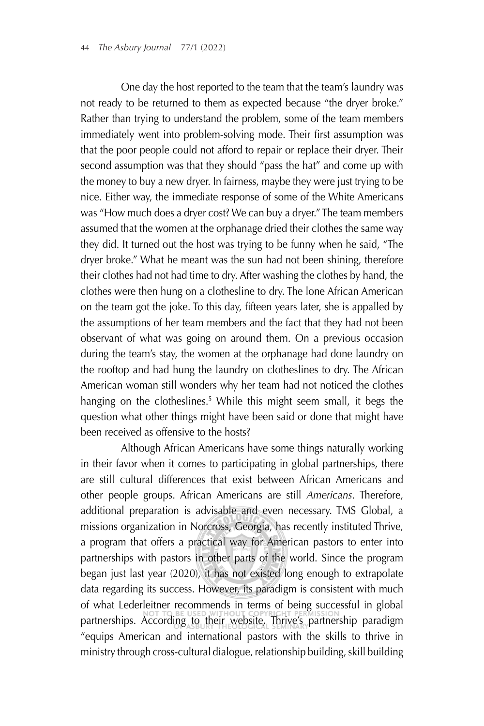One day the host reported to the team that the team's laundry was not ready to be returned to them as expected because "the dryer broke." Rather than trying to understand the problem, some of the team members immediately went into problem-solving mode. Their first assumption was that the poor people could not afford to repair or replace their dryer. Their second assumption was that they should "pass the hat" and come up with the money to buy a new dryer. In fairness, maybe they were just trying to be nice. Either way, the immediate response of some of the White Americans was "How much does a dryer cost? We can buy a dryer." The team members assumed that the women at the orphanage dried their clothes the same way they did. It turned out the host was trying to be funny when he said, "The dryer broke." What he meant was the sun had not been shining, therefore their clothes had not had time to dry. After washing the clothes by hand, the clothes were then hung on a clothesline to dry. The lone African American on the team got the joke. To this day, fifteen years later, she is appalled by the assumptions of her team members and the fact that they had not been observant of what was going on around them. On a previous occasion during the team's stay, the women at the orphanage had done laundry on the rooftop and had hung the laundry on clotheslines to dry. The African American woman still wonders why her team had not noticed the clothes hanging on the clotheslines.<sup>5</sup> While this might seem small, it begs the question what other things might have been said or done that might have been received as offensive to the hosts?

Although African Americans have some things naturally working in their favor when it comes to participating in global partnerships, there are still cultural differences that exist between African Americans and other people groups. African Americans are still *Americans*. Therefore, additional preparation is advisable and even necessary. TMS Global, a missions organization in Norcross, Georgia, has recently instituted Thrive, a program that offers a practical way for American pastors to enter into partnerships with pastors in other parts of the world. Since the program began just last year (2020), it has not existed long enough to extrapolate data regarding its success. However, its paradigm is consistent with much of what Lederleitner recommends in terms of being successful in global partnerships. According to their website, Thrive's partnership paradigm "equips American and international pastors with the skills to thrive in ministry through cross-cultural dialogue, relationship building, skill building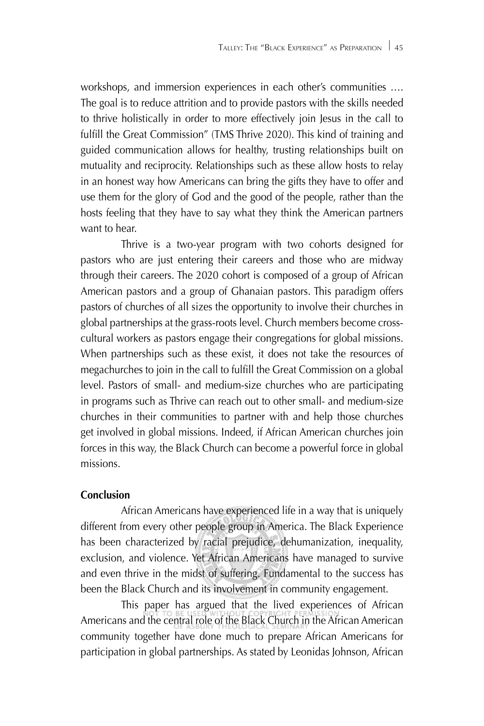workshops, and immersion experiences in each other's communities …. The goal is to reduce attrition and to provide pastors with the skills needed to thrive holistically in order to more effectively join Jesus in the call to fulfill the Great Commission" (TMS Thrive 2020). This kind of training and guided communication allows for healthy, trusting relationships built on mutuality and reciprocity. Relationships such as these allow hosts to relay in an honest way how Americans can bring the gifts they have to offer and use them for the glory of God and the good of the people, rather than the hosts feeling that they have to say what they think the American partners want to hear.

Thrive is a two-year program with two cohorts designed for pastors who are just entering their careers and those who are midway through their careers. The 2020 cohort is composed of a group of African American pastors and a group of Ghanaian pastors. This paradigm offers pastors of churches of all sizes the opportunity to involve their churches in global partnerships at the grass-roots level. Church members become crosscultural workers as pastors engage their congregations for global missions. When partnerships such as these exist, it does not take the resources of megachurches to join in the call to fulfill the Great Commission on a global level. Pastors of small- and medium-size churches who are participating in programs such as Thrive can reach out to other small- and medium-size churches in their communities to partner with and help those churches get involved in global missions. Indeed, if African American churches join forces in this way, the Black Church can become a powerful force in global missions.

#### **Conclusion**

African Americans have experienced life in a way that is uniquely different from every other people group in America. The Black Experience has been characterized by racial prejudice, dehumanization, inequality, exclusion, and violence. Yet African Americans have managed to survive and even thrive in the midst of suffering. Fundamental to the success has been the Black Church and its involvement in community engagement.

This paper has argued that the lived experiences of African Americans and the central role of the Black Church in the African American community together have done much to prepare African Americans for participation in global partnerships. As stated by Leonidas Johnson, African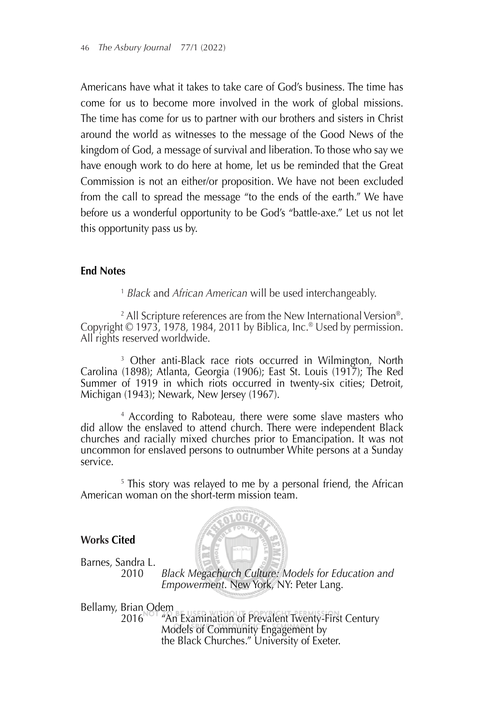Americans have what it takes to take care of God's business. The time has come for us to become more involved in the work of global missions. The time has come for us to partner with our brothers and sisters in Christ around the world as witnesses to the message of the Good News of the kingdom of God, a message of survival and liberation. To those who say we have enough work to do here at home, let us be reminded that the Great Commission is not an either/or proposition. We have not been excluded from the call to spread the message "to the ends of the earth." We have before us a wonderful opportunity to be God's "battle-axe." Let us not let this opportunity pass us by.

#### **End Notes**

<sup>1</sup> *Black* and *African American* will be used interchangeably.

2 All Scripture references are from the New International Version®. Copyright © 1973, 1978, 1984, 2011 by Biblica, Inc.® Used by permission. All rights reserved worldwide.

<sup>3</sup> Other anti-Black race riots occurred in Wilmington, North Carolina (1898); Atlanta, Georgia (1906); East St. Louis (1917); The Red Summer of 1919 in which riots occurred in twenty-six cities; Detroit, Michigan (1943); Newark, New Jersey (1967).

<sup>4</sup> According to Raboteau, there were some slave masters who did allow the enslaved to attend church. There were independent Black churches and racially mixed churches prior to Emancipation. It was not uncommon for enslaved persons to outnumber White persons at a Sunday service.

<sup>5</sup> This story was relayed to me by a personal friend, the African American woman on the short-term mission team.

#### **Works Cited**



Barnes, Sandra L.

2010 *Black Megachurch Culture: Models for Education and Empowerment*. New York, NY: Peter Lang.

Bellamy, Brian Odem<br>2016 The

"An Examination of Prevalent Twenty-First Century Models of Community Engagement by the Black Churches." University of Exeter.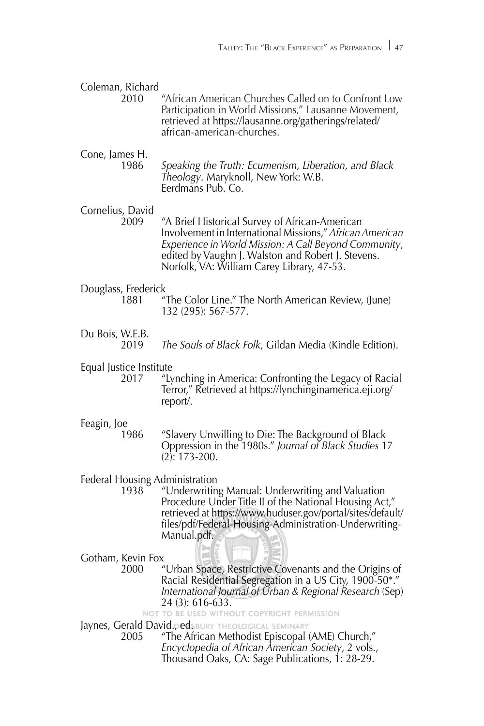| Coleman, Richard<br>2010               | "African American Churches Called on to Confront Low<br>Participation in World Missions," Lausanne Movement,<br>retrieved at https://lausanne.org/gatherings/related/<br>african-american-churches.                                                                     |
|----------------------------------------|-------------------------------------------------------------------------------------------------------------------------------------------------------------------------------------------------------------------------------------------------------------------------|
| Cone, James H.<br>1986                 | Speaking the Truth: Ecumenism, Liberation, and Black<br>Theology. Maryknoll, New York: W.B.<br>Eerdmans Pub. Co.                                                                                                                                                        |
| Cornelius, David<br>2009               | "A Brief Historical Survey of African-American<br>Involvement in International Missions," African American<br>Experience in World Mission: A Call Beyond Community,<br>edited by Vaughn J. Walston and Robert J. Stevens.<br>Norfolk, VA: William Carey Library, 47-53. |
| Douglass, Frederick<br>1881            | "The Color Line." The North American Review, (June)<br>132 (295): 567-577.                                                                                                                                                                                              |
| Du Bois, W.E.B.<br>2019                | The Souls of Black Folk, Gildan Media (Kindle Edition).                                                                                                                                                                                                                 |
| Equal Justice Institute<br>2017        | "Lynching in America: Confronting the Legacy of Racial<br>Terror," Retrieved at https://lynchinginamerica.eji.org/<br>report/.                                                                                                                                          |
| Feagin, Joe<br>1986                    | "Slavery Unwilling to Die: The Background of Black<br>Oppression in the 1980s." Journal of Black Studies 17<br>$(2): 173 - 200.$                                                                                                                                        |
| Federal Housing Administration<br>1938 | "Underwriting Manual: Underwriting and Valuation<br>Procedure Under Title II of the National Housing Act,"<br>retrieved at https://www.huduser.gov/portal/sites/default/<br>files/pdf/Federal-Housing-Administration-Underwriting-<br>Manual.pdf.                       |
| Gotham, Kevin Fox<br>2000              | "Urban Space, Restrictive Covenants and the Origins of<br>Racial Residential Segregation in a US City, 1900-50*."<br>International Journal of Urban & Regional Research (Sep)<br>24 (3): 616-633.                                                                       |
| 2005                                   | NOT TO BE USED WITHOUT COPYRIGHT PERMISSION<br>Jaynes, Gerald David.gedsbury theological seminary<br>"The African Methodist Episcopal (AME) Church,"<br>Encyclopedia of African American Society, 2 vols.,<br>Thousand Oaks, CA: Sage Publications, 1: 28-29.           |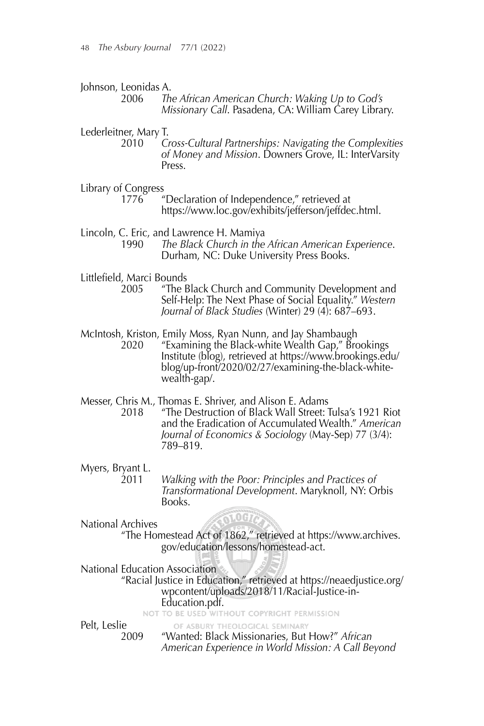Johnson, Leonidas A.

Lederleitner, Mary T.

- 2010 *Cross-Cultural Partnerships: Navigating the Complexities of Money and Mission*. Downers Grove, IL: InterVarsity Press.
- Library of Congress
	- 1776 "Declaration of Independence," retrieved at https://www.loc.gov/exhibits/jefferson/jeffdec.html.
- Lincoln, C. Eric, and Lawrence H. Mamiya
	- 1990 *The Black Church in the African American Experience*. Durham, NC: Duke University Press Books.
- Littlefield, Marci Bounds
	- 2005 "The Black Church and Community Development and Self-Help: The Next Phase of Social Equality." *Western Journal of Black Studies* (Winter) 29 (4): 687–693.
- McIntosh, Kriston, Emily Moss, Ryan Nunn, and Jay Shambaugh 2020 "Examining the Black-white Wealth Gap," Brookings Institute (blog), retrieved at https://www.brookings.edu/ blog/up-front/2020/02/27/examining-the-black-white wealth-gap/.
- Messer, Chris M., Thomas E. Shriver, and Alison E. Adams
	- 2018 "The Destruction of Black Wall Street: Tulsa's 1921 Riot and the Eradication of Accumulated Wealth." *American Journal of Economics & Sociology* (May-Sep) 77 (3/4): 789–819.
- Myers, Bryant L.
	- Walking with the Poor: Principles and Practices of<br>Transformational Development. Maryknoll, NY: Orbis<br>Books.
- National Archives

### .0 G 7

"The Homestead Act of 1862," retrieved at https://www.archives. gov/education/lessons/homestead-act.

National Education Association

"Racial Justice in Education," retrieved at https://neaedjustice.org/ wpcontent/uploads/2018/11/Racial-Justice-in- **Education.pdf.**<br>NOT TO BE USED WITHOUT COPYRIGHT PERMISSION

Pelt, Leslie

OF ASBURY THEOLOGICAL SEMINARY 2009 "Wanted: Black Missionaries, But How?" *African American Experience in World Mission: A Call Beyond* 

<sup>2006</sup> *The African American Church: Waking Up to God's Missionary Call*. Pasadena, CA: William Carey Library.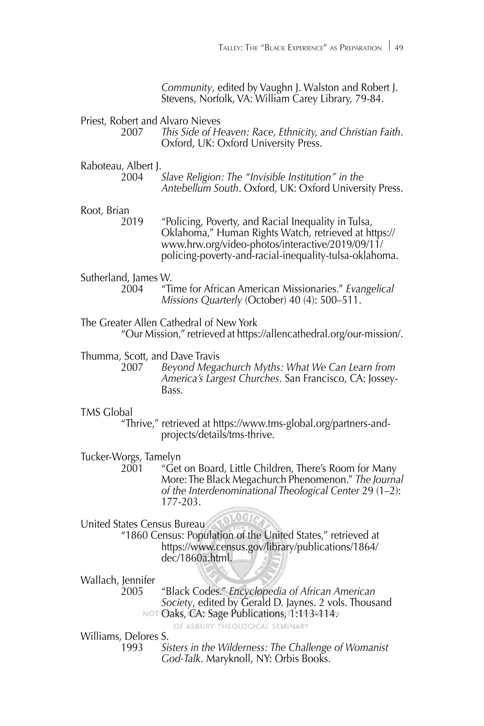*Community*, edited by Vaughn J. Walston and Robert J. Stevens, Norfolk, VA: William Carey Library, 79-84.

# Priest, Robert and Alvaro Nieves<br>2007 This Side of He

2007 *This Side of Heaven: Race, Ethnicity, and Christian Faith*. Oxford, UK: Oxford University Press.

## Raboteau, Albert J.<br>2004

*Slave Religion: The "Invisible Institution" in the Antebellum South*. Oxford, UK: Oxford University Press.

## Root, Brian<br>2019

2019 "Policing, Poverty, and Racial Inequality in Tulsa, Oklahoma," Human Rights Watch, retrieved at https:// www.hrw.org/video-photos/interactive/2019/09/11/ policing-poverty-and-racial-inequality-tulsa-oklahoma.

- Sutherland, James W.
	- 2004 "Time for African American Missionaries." *Evangelical Missions Quarterly* (October) 40 (4): 500–511.

#### The Greater Allen Cathedral of New York

"Our Mission," retrieved at https://allencathedral.org/our-mission/.

Thumma, Scott, and Dave Travis<br>2007 Beyond Megachurch Myths: What We Can Learn from <sup>2007</sup>*Beyond Megachurch Myths: What We Can Learn from America's Largest Churches*. San Francisco, CA: Jossey- Bass.

#### TMS Global

"Thrive," retrieved at https://www.tms-global.org/partners-and projects/details/tms-thrive.

Tucker-Worgs, Tamelyn<br>2001 "Get

"Get on Board, Little Children, There's Room for Many More: The Black Megachurch Phenomenon." *The Journal of the Interdenominational Theological Center* 29 (1–2): 177-203.

United States Census Bureau<br>
"1860 Census: Population of the United States," retrieved at https://www.census.gov/library/publications/1864/ dec/1860a.html.

#### Wallach, Jennifer

2005 "Black Codes." *Encyclopedia of African American Society*, edited by Gerald D. Jaynes. 2 vols. Thousand NOT Oaks, CA: Sage Publications, 1:113-114. OF ASBURY THEOLOGICAL SEMINARY

Williams, Delores S.<br>1993 - 1993

*Sisters in the Wilderness: The Challenge of Womanist God-Talk*. Maryknoll, NY: Orbis Books.